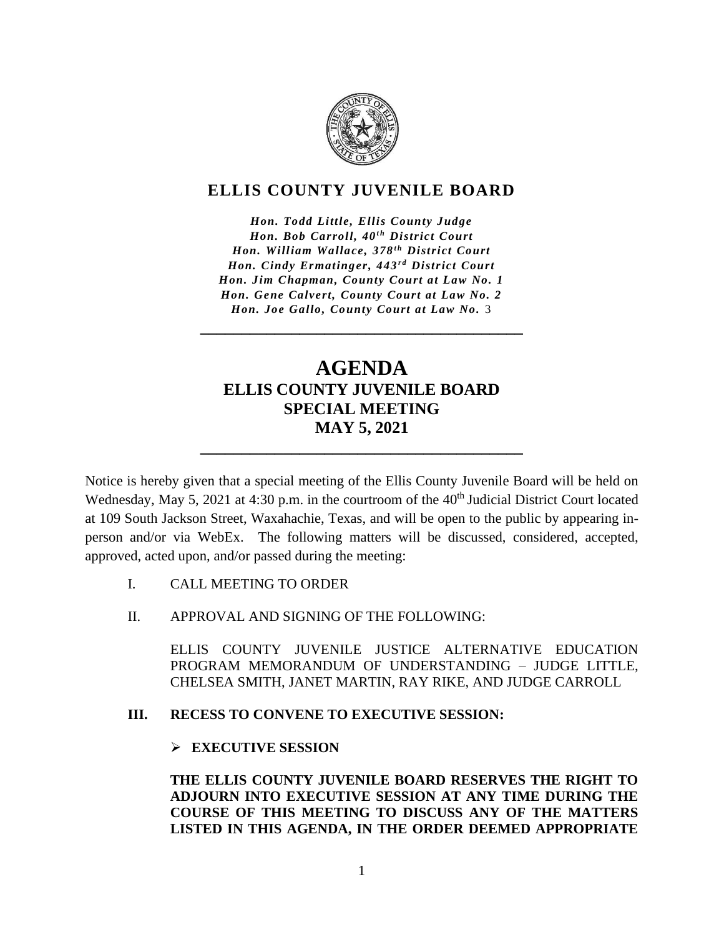

## **ELLIS COUNTY JUVENILE BOARD**

*Hon. Todd Little, Ellis County Judge Hon. Bob Carroll, 40<sup>th</sup> District Court Hon. William Wallace, 378<sup>th</sup> District Court Hon. Cindy Ermatinger, 443<sup>rd</sup> District Court Hon. Jim Chapman, County Court at Law No. 1 Hon. Gene Calvert, County Court at Law No. 2 Hon. Joe Gallo, County Court at Law No.* 3

**\_\_\_\_\_\_\_\_\_\_\_\_\_\_\_\_\_\_\_\_\_\_\_\_\_\_\_\_\_\_\_\_\_\_\_\_\_\_\_**

## **AGENDA ELLIS COUNTY JUVENILE BOARD SPECIAL MEETING MAY 5, 2021**

**\_\_\_\_\_\_\_\_\_\_\_\_\_\_\_\_\_\_\_\_\_\_\_\_\_\_\_\_\_\_\_\_\_\_\_\_\_\_\_**

Notice is hereby given that a special meeting of the Ellis County Juvenile Board will be held on Wednesday, May 5, 2021 at 4:30 p.m. in the courtroom of the 40<sup>th</sup> Judicial District Court located at 109 South Jackson Street, Waxahachie, Texas, and will be open to the public by appearing inperson and/or via WebEx. The following matters will be discussed, considered, accepted, approved, acted upon, and/or passed during the meeting:

- I. CALL MEETING TO ORDER
- II. APPROVAL AND SIGNING OF THE FOLLOWING:

ELLIS COUNTY JUVENILE JUSTICE ALTERNATIVE EDUCATION PROGRAM MEMORANDUM OF UNDERSTANDING – JUDGE LITTLE, CHELSEA SMITH, JANET MARTIN, RAY RIKE, AND JUDGE CARROLL

## **III. RECESS TO CONVENE TO EXECUTIVE SESSION:**

## ➢ **EXECUTIVE SESSION**

**THE ELLIS COUNTY JUVENILE BOARD RESERVES THE RIGHT TO ADJOURN INTO EXECUTIVE SESSION AT ANY TIME DURING THE COURSE OF THIS MEETING TO DISCUSS ANY OF THE MATTERS LISTED IN THIS AGENDA, IN THE ORDER DEEMED APPROPRIATE**